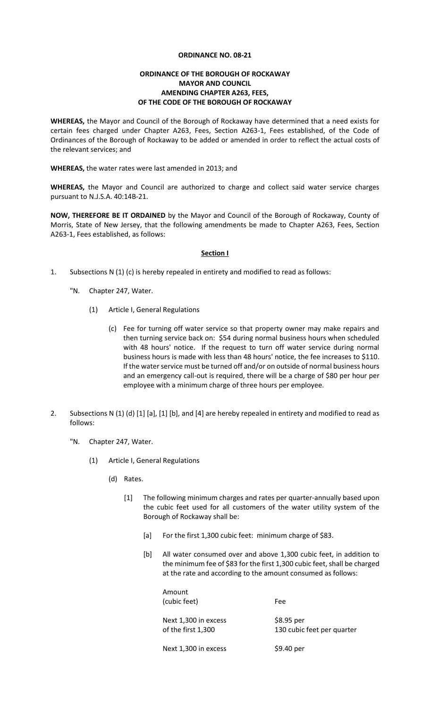## **ORDINANCE NO. 08-21**

## **ORDINANCE OF THE BOROUGH OF ROCKAWAY MAYOR AND COUNCIL AMENDING CHAPTER A263, FEES, OF THE CODE OF THE BOROUGH OF ROCKAWAY**

**WHEREAS,** the Mayor and Council of the Borough of Rockaway have determined that a need exists for certain fees charged under Chapter A263, Fees, Section A263-1, Fees established, of the Code of Ordinances of the Borough of Rockaway to be added or amended in order to reflect the actual costs of the relevant services; and

**WHEREAS,** the water rates were last amended in 2013; and

**WHEREAS,** the Mayor and Council are authorized to charge and collect said water service charges pursuant to N.J.S.A. 40:14B-21.

**NOW, THEREFORE BE IT ORDAINED** by the Mayor and Council of the Borough of Rockaway, County of Morris, State of New Jersey, that the following amendments be made to Chapter A263, Fees, Section A263-1, Fees established, as follows:

#### **Section I**

- 1. Subsections N (1) (c) is hereby repealed in entirety and modified to read as follows:
	- "N. Chapter 247, Water.
		- (1) Article I, General Regulations
			- (c) Fee for turning off water service so that property owner may make repairs and then turning service back on: \$54 during normal business hours when scheduled with 48 hours' notice. If the request to turn off water service during normal business hours is made with less than 48 hours' notice, the fee increases to \$110. If the water service must be turned off and/or on outside of normal business hours and an emergency call-out is required, there will be a charge of \$80 per hour per employee with a minimum charge of three hours per employee.
- 2. Subsections N (1) (d) [1] [a], [1] [b], and [4] are hereby repealed in entirety and modified to read as follows:
	- "N. Chapter 247, Water.
		- (1) Article I, General Regulations
			- (d) Rates.
				- [1] The following minimum charges and rates per quarter-annually based upon the cubic feet used for all customers of the water utility system of the Borough of Rockaway shall be:
					- [a] For the first 1,300 cubic feet: minimum charge of \$83.
					- [b] All water consumed over and above 1,300 cubic feet, in addition to the minimum fee of \$83 for the first 1,300 cubic feet, shall be charged at the rate and according to the amount consumed as follows:

| Amount<br>(cubic feet)                     | Fee                                      |
|--------------------------------------------|------------------------------------------|
| Next 1,300 in excess<br>of the first 1,300 | \$8.95 per<br>130 cubic feet per quarter |
| Next 1,300 in excess                       | \$9.40 per                               |